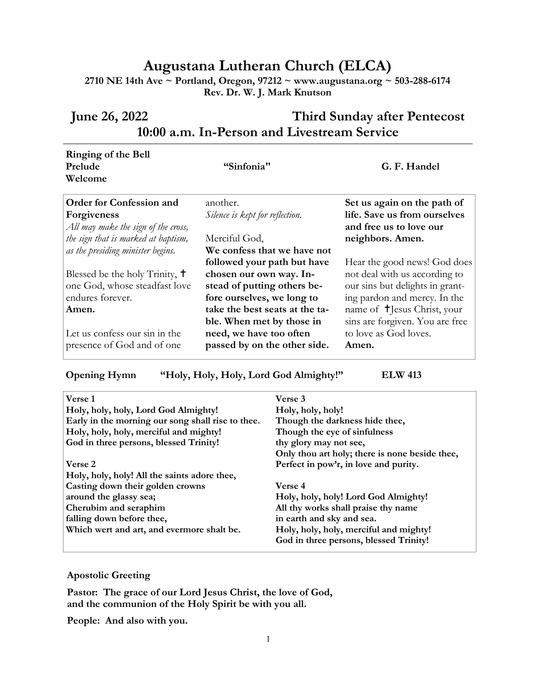## **Augustana Lutheran Church (ELCA)**

**2710 NE 14th Ave ~ Portland, Oregon, 97212 ~ www.augustana.org ~ 503-288-6174 Rev. Dr. W. J. Mark Knutson**

## **June 26, 2022 Third Sunday after Pentecost 10:00 a.m. In-Person and Livestream Service**

| Ringing of the Bell<br>Prelude<br>Welcome                                      | "Sinfonia"                                                                            | G. F. Handel                                                           |
|--------------------------------------------------------------------------------|---------------------------------------------------------------------------------------|------------------------------------------------------------------------|
| <b>Order for Confession and</b><br><b>Forgiveness</b>                          | another.<br>Silence is kept for reflection.                                           | Set us again on the path of<br>life. Save us from ourselves            |
| All may make the sign of the cross,<br>the sign that is marked at baptism,     | Merciful God,                                                                         | and free us to love our<br>neighbors. Amen.                            |
| as the presiding minister begins.<br>Blessed be the holy Trinity, <sup>†</sup> | We confess that we have not<br>followed your path but have<br>chosen our own way. In- | Hear the good news! God does<br>not deal with us according to          |
| one God, whose steadfast love<br>endures forever.                              | stead of putting others be-<br>fore ourselves, we long to                             | our sins but delights in grant-<br>ing pardon and mercy. In the        |
| Amen.                                                                          | take the best seats at the ta-<br>ble. When met by those in                           | name of <b>T</b> Jesus Christ, your<br>sins are forgiven. You are free |
| Let us confess our sin in the<br>presence of God and of one                    | need, we have too often<br>passed by on the other side.                               | to love as God loves.<br>Amen.                                         |

**Opening Hymn "Holy, Holy, Holy, Lord God Almighty!" ELW 413**

| Verse 3                                        |
|------------------------------------------------|
| Holy, holy, holy!                              |
| Though the darkness hide thee,                 |
| Though the eye of sinfulness                   |
| thy glory may not see,                         |
| Only thou art holy; there is none beside thee, |
| Perfect in pow'r, in love and purity.          |
|                                                |
| Verse 4                                        |
| Holy, holy, holy! Lord God Almighty!           |
| All thy works shall praise thy name            |
| in earth and sky and sea.                      |
| Holy, holy, holy, merciful and mighty!         |
| God in three persons, blessed Trinity!         |
|                                                |

## **Apostolic Greeting**

**Pastor: The grace of our Lord Jesus Christ, the love of God, and the communion of the Holy Spirit be with you all.**

**People: And also with you.**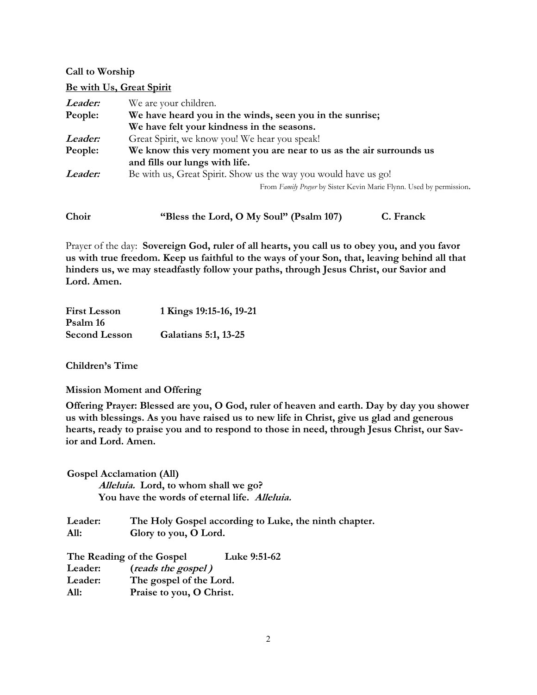## **Call to Worship**

**Be with Us, Great Spirit**

| Leader:        | We are your children.                                               |  |  |
|----------------|---------------------------------------------------------------------|--|--|
| People:        | We have heard you in the winds, seen you in the sunrise;            |  |  |
|                | We have felt your kindness in the seasons.                          |  |  |
| <i>Leader:</i> | Great Spirit, we know you! We hear you speak!                       |  |  |
| People:        | We know this very moment you are near to us as the air surrounds us |  |  |
|                | and fills our lungs with life.                                      |  |  |
| Leader:        | Be with us, Great Spirit. Show us the way you would have us go!     |  |  |
|                | From Family Prayer by Sister Kevin Marie Flynn. Used by permission. |  |  |
|                |                                                                     |  |  |

| Choir | "Bless the Lord, O My Soul" (Psalm 107) | C. Franck |
|-------|-----------------------------------------|-----------|
|-------|-----------------------------------------|-----------|

Prayer of the day: **Sovereign God, ruler of all hearts, you call us to obey you, and you favor us with true freedom. Keep us faithful to the ways of your Son, that, leaving behind all that hinders us, we may steadfastly follow your paths, through Jesus Christ, our Savior and Lord. Amen.**

| <b>First Lesson</b>  | 1 Kings 19:15-16, 19-21 |
|----------------------|-------------------------|
| Psalm 16             |                         |
| <b>Second Lesson</b> | Galatians 5:1, 13-25    |

**Children's Time**

**Mission Moment and Offering**

**Offering Prayer: Blessed are you, O God, ruler of heaven and earth. Day by day you shower us with blessings. As you have raised us to new life in Christ, give us glad and generous hearts, ready to praise you and to respond to those in need, through Jesus Christ, our Savior and Lord. Amen.**

**Gospel Acclamation (All) Alleluia. Lord, to whom shall we go? You have the words of eternal life. Alleluia.** 

**Leader: The Holy Gospel according to Luke, the ninth chapter. All: Glory to you, O Lord.**

**The Reading of the Gospel Luke 9:51-62 Leader: (reads the gospel ) Leader: The gospel of the Lord. All: Praise to you, O Christ.**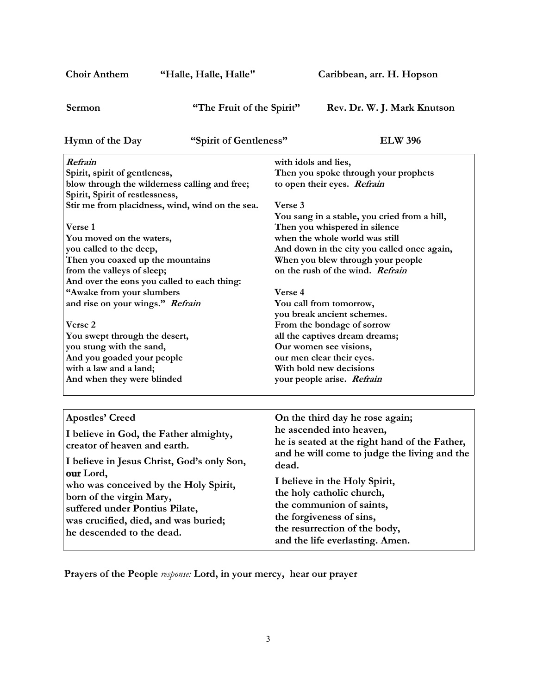| <b>Choir Anthem</b>                                                                                                                                                                                                                                                                                                                                                                                                                            | "Halle, Halle, Halle"     |                                            | Caribbean, arr. H. Hopson                                                                                                                                                                                                                                                                                                                                                                             |
|------------------------------------------------------------------------------------------------------------------------------------------------------------------------------------------------------------------------------------------------------------------------------------------------------------------------------------------------------------------------------------------------------------------------------------------------|---------------------------|--------------------------------------------|-------------------------------------------------------------------------------------------------------------------------------------------------------------------------------------------------------------------------------------------------------------------------------------------------------------------------------------------------------------------------------------------------------|
| Sermon                                                                                                                                                                                                                                                                                                                                                                                                                                         | "The Fruit of the Spirit" |                                            | Rev. Dr. W. J. Mark Knutson                                                                                                                                                                                                                                                                                                                                                                           |
| Hymn of the Day                                                                                                                                                                                                                                                                                                                                                                                                                                | "Spirit of Gentleness"    |                                            | <b>ELW 396</b>                                                                                                                                                                                                                                                                                                                                                                                        |
| Refrain<br>Spirit, spirit of gentleness,<br>blow through the wilderness calling and free;<br>Spirit, Spirit of restlessness,<br>Stir me from placidness, wind, wind on the sea.<br>Verse 1<br>You moved on the waters,<br>you called to the deep,<br>Then you coaxed up the mountains<br>from the valleys of sleep;<br>And over the eons you called to each thing:<br>"Awake from your slumbers<br>and rise on your wings." Refrain<br>Verse 2 |                           | with idols and lies,<br>Verse 3<br>Verse 4 | Then you spoke through your prophets<br>to open their eyes. Refrain<br>You sang in a stable, you cried from a hill,<br>Then you whispered in silence<br>when the whole world was still<br>And down in the city you called once again,<br>When you blew through your people<br>on the rush of the wind. Refrain<br>You call from tomorrow,<br>you break ancient schemes.<br>From the bondage of sorrow |
| You swept through the desert,<br>you stung with the sand,<br>And you goaded your people<br>with a law and a land;<br>And when they were blinded                                                                                                                                                                                                                                                                                                |                           |                                            | all the captives dream dreams;<br>Our women see visions,<br>our men clear their eyes.<br>With bold new decisions<br>your people arise. Refrain                                                                                                                                                                                                                                                        |
|                                                                                                                                                                                                                                                                                                                                                                                                                                                |                           |                                            |                                                                                                                                                                                                                                                                                                                                                                                                       |
| <b>Apostles' Creed</b><br>I believe in God, the Father almighty,<br>creator of heaven and earth.<br>I believe in Jesus Christ, God's only Son,<br>our Lord,<br>who was conceived by the Holy Spirit,<br>born of the virgin Mary,<br>suffered under Pontius Pilate,<br>was crucified, died, and was buried;<br>he descended to the dead.                                                                                                        |                           | dead.                                      | On the third day he rose again;<br>he ascended into heaven,<br>he is seated at the right hand of the Father,<br>and he will come to judge the living and the<br>I believe in the Holy Spirit,<br>the holy catholic church,<br>the communion of saints,<br>the forgiveness of sins,<br>the resurrection of the body,<br>and the life everlasting. Amen.                                                |

**Prayers of the People** *response:* **Lord, in your mercy, hear our prayer**